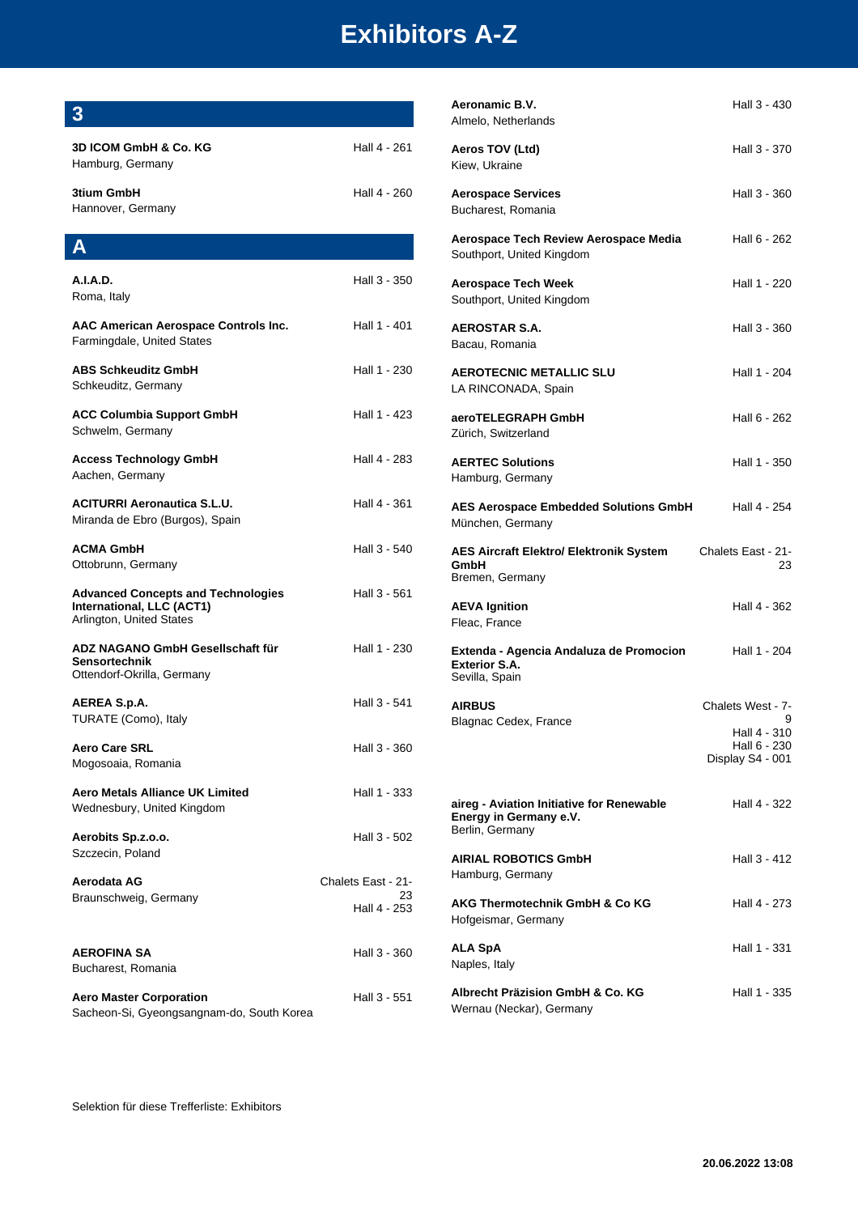| $3\phantom{a}$                                                                                     |                                          | Aeronamic B.V.                                                                       | Hall 3 - 430                                     |
|----------------------------------------------------------------------------------------------------|------------------------------------------|--------------------------------------------------------------------------------------|--------------------------------------------------|
|                                                                                                    |                                          | Almelo, Netherlands                                                                  |                                                  |
| <b>3D ICOM GmbH &amp; Co. KG</b><br>Hamburg, Germany                                               | Hall 4 - 261                             | Aeros TOV (Ltd)<br>Kiew, Ukraine                                                     | Hall 3 - 370                                     |
| 3tium GmbH<br>Hannover, Germany                                                                    | Hall 4 - 260                             | <b>Aerospace Services</b><br>Bucharest, Romania                                      | Hall 3 - 360                                     |
| $\mathbf{A}$                                                                                       |                                          | Aerospace Tech Review Aerospace Media<br>Southport, United Kingdom                   | Hall 6 - 262                                     |
| <b>A.I.A.D.</b><br>Roma, Italy                                                                     | Hall 3 - 350                             | <b>Aerospace Tech Week</b><br>Southport, United Kingdom                              | Hall 1 - 220                                     |
| AAC American Aerospace Controls Inc.<br>Farmingdale, United States                                 | Hall 1 - 401                             | <b>AEROSTAR S.A.</b><br>Bacau, Romania                                               | Hall 3 - 360                                     |
| <b>ABS Schkeuditz GmbH</b><br>Schkeuditz, Germany                                                  | Hall 1 - 230                             | <b>AEROTECNIC METALLIC SLU</b><br>LA RINCONADA, Spain                                | Hall 1 - 204                                     |
| <b>ACC Columbia Support GmbH</b><br>Schwelm, Germany                                               | Hall 1 - 423                             | aeroTELEGRAPH GmbH<br>Zürich, Switzerland                                            | Hall 6 - 262                                     |
| <b>Access Technology GmbH</b><br>Aachen, Germany                                                   | Hall 4 - 283                             | <b>AERTEC Solutions</b><br>Hamburg, Germany                                          | Hall 1 - 350                                     |
| <b>ACITURRI Aeronautica S.L.U.</b><br>Miranda de Ebro (Burgos), Spain                              | Hall 4 - 361                             | <b>AES Aerospace Embedded Solutions GmbH</b><br>München, Germany                     | Hall 4 - 254                                     |
| <b>ACMA GmbH</b><br>Ottobrunn, Germany                                                             | Hall 3 - 540                             | <b>AES Aircraft Elektro/ Elektronik System</b><br>GmbH<br>Bremen, Germany            | Chalets East - 21-<br>23                         |
| <b>Advanced Concepts and Technologies</b><br>International, LLC (ACT1)<br>Arlington, United States | Hall 3 - 561                             | <b>AEVA Ignition</b><br>Fleac, France                                                | Hall 4 - 362                                     |
| ADZ NAGANO GmbH Gesellschaft für<br>Sensortechnik<br>Ottendorf-Okrilla, Germany                    | Hall 1 - 230                             | Extenda - Agencia Andaluza de Promocion<br><b>Exterior S.A.</b><br>Sevilla, Spain    | Hall 1 - 204                                     |
| AEREA S.p.A.                                                                                       | Hall 3 - 541                             | <b>AIRBUS</b>                                                                        | Chalets West - 7-<br>9                           |
| TURATE (Como), Italy<br><b>Aero Care SRL</b><br>Mogosoaia, Romania                                 | Hall 3 - 360                             | Blagnac Cedex, France                                                                | Hall 4 - 310<br>Hall 6 - 230<br>Display S4 - 001 |
| <b>Aero Metals Alliance UK Limited</b><br>Wednesbury, United Kingdom                               | Hall 1 - 333                             | aireg - Aviation Initiative for Renewable<br>Energy in Germany e.V.                  | Hall 4 - 322                                     |
| Aerobits Sp.z.o.o.<br>Szczecin, Poland                                                             | Hall 3 - 502                             | Berlin, Germany<br><b>AIRIAL ROBOTICS GmbH</b>                                       | Hall 3 - 412                                     |
| Aerodata AG<br>Braunschweig, Germany                                                               | Chalets East - 21-<br>23<br>Hall 4 - 253 | Hamburg, Germany<br><b>AKG Thermotechnik GmbH &amp; Co KG</b><br>Hofgeismar, Germany | Hall 4 - 273                                     |
| <b>AEROFINA SA</b><br>Bucharest, Romania                                                           | Hall 3 - 360                             | <b>ALA SpA</b><br>Naples, Italy                                                      | Hall 1 - 331                                     |
| <b>Aero Master Corporation</b><br>Sacheon-Si, Gyeongsangnam-do, South Korea                        | Hall 3 - 551                             | Albrecht Präzision GmbH & Co. KG<br>Wernau (Neckar), Germany                         | Hall 1 - 335                                     |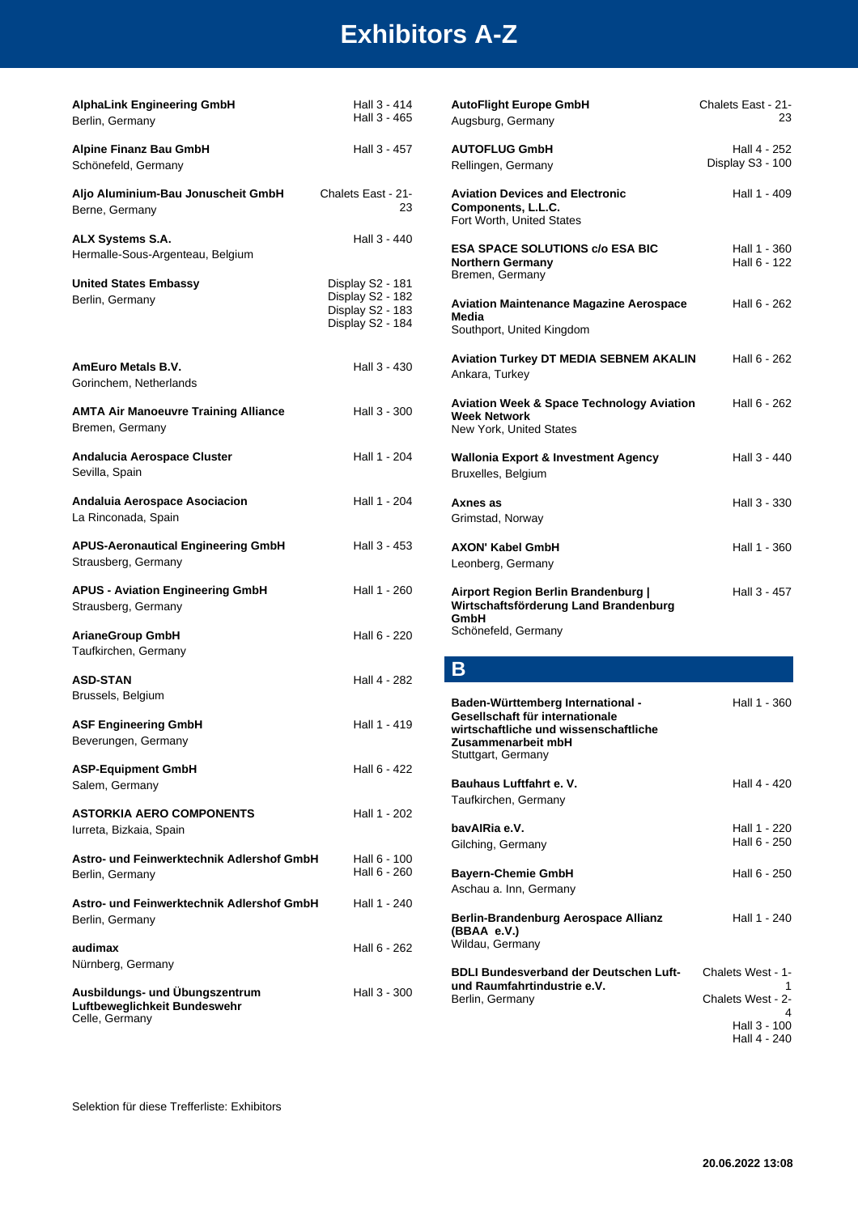| <b>AlphaLink Engineering GmbH</b><br>Berlin, Germany                             | Hall 3 - 414<br>Hall 3 - 465                                                 | Autol<br>Augsl                  |
|----------------------------------------------------------------------------------|------------------------------------------------------------------------------|---------------------------------|
| <b>Alpine Finanz Bau GmbH</b><br>Schönefeld, Germany                             | Hall 3 - 457                                                                 | <b>AUTO</b><br>Rellin           |
| Aljo Aluminium-Bau Jonuscheit GmbH<br>Berne, Germany                             | Chalets East - 21-<br>23                                                     | Aviat<br>Comp<br>Fort V         |
| <b>ALX Systems S.A.</b><br>Hermalle-Sous-Argenteau, Belgium                      | Hall 3 - 440                                                                 | ESA :<br>North                  |
| <b>United States Embassy</b><br>Berlin, Germany                                  | Display S2 - 181<br>Display S2 - 182<br>Display S2 - 183<br>Display S2 - 184 | Brem<br>Aviat<br>Media<br>South |
| <b>AmEuro Metals B.V.</b><br>Gorinchem, Netherlands                              | Hall 3 - 430                                                                 | Aviat<br>Ankaı                  |
| <b>AMTA Air Manoeuvre Training Alliance</b><br>Bremen, Germany                   | Hall 3 - 300                                                                 | Aviat<br>Week<br>New `          |
| Andalucia Aerospace Cluster<br>Sevilla, Spain                                    | Hall 1 - 204                                                                 | Wallo<br>Bruxe                  |
| Andaluia Aerospace Asociacion<br>La Rinconada, Spain                             | Hall 1 - 204                                                                 | Axne<br>Grims                   |
| <b>APUS-Aeronautical Engineering GmbH</b><br>Strausberg, Germany                 | Hall 3 - 453                                                                 | AXOI<br>Leont                   |
| <b>APUS - Aviation Engineering GmbH</b><br>Strausberg, Germany                   | Hall 1 - 260                                                                 | Airpo<br>Wirts<br>Gmbl          |
| <b>ArianeGroup GmbH</b><br>Taufkirchen, Germany                                  | Hall 6 - 220                                                                 | Schöi                           |
| <b>ASD-STAN</b><br>Brussels, Belgium                                             | Hall 4 - 282                                                                 | В<br>Bade                       |
| <b>ASF Engineering GmbH</b><br>Beverungen, Germany                               | Hall 1 - 419                                                                 | Gese<br>wirts<br>Zusar          |
| <b>ASP-Equipment GmbH</b><br>Salem, Germany                                      | Hall 6 - 422                                                                 | Stutto<br>Bauh                  |
| <b>ASTORKIA AERO COMPONENTS</b><br>lurreta, Bizkaia, Spain                       | Hall 1 - 202                                                                 | Taufk<br>bavA                   |
| Astro- und Feinwerktechnik Adlershof GmbH<br>Berlin, Germany                     | Hall 6 - 100<br>Hall 6 - 260                                                 | Gilchi<br>Baye                  |
| Astro- und Feinwerktechnik Adlershof GmbH<br>Berlin, Germany                     | Hall 1 - 240                                                                 | Ascha<br>Berlin<br>(BBA         |
| audimax<br>Nürnberg, Germany                                                     | Hall 6 - 262                                                                 | Wilda<br><b>BDLI</b>            |
| Ausbildungs- und Übungszentrum<br>Luftbeweglichkeit Bundeswehr<br>Celle, Germany | Hall 3 - 300                                                                 | und F<br>Berlin                 |
|                                                                                  |                                                                              |                                 |

| <b>AutoFlight Europe GmbH</b><br>Augsburg, Germany                                                                                                        | Chalets East - 21-<br>23         |
|-----------------------------------------------------------------------------------------------------------------------------------------------------------|----------------------------------|
| <b>AUTOFLUG GmbH</b><br>Rellingen, Germany                                                                                                                | Hall 4 - 252<br>Display S3 - 100 |
| <b>Aviation Devices and Electronic</b><br>Components, L.L.C.<br>Fort Worth, United States                                                                 | Hall 1 - 409                     |
| <b>ESA SPACE SOLUTIONS c/o ESA BIC</b><br><b>Northern Germany</b><br>Bremen, Germany                                                                      | Hall 1 - 360<br>Hall 6 - 122     |
| <b>Aviation Maintenance Magazine Aerospace</b><br>Media<br>Southport, United Kingdom                                                                      | Hall 6 - 262                     |
| <b>Aviation Turkey DT MEDIA SEBNEM AKALIN</b><br>Ankara, Turkey                                                                                           | Hall 6 - 262                     |
| <b>Aviation Week &amp; Space Technology Aviation</b><br><b>Week Network</b><br>New York, United States                                                    | Hall 6 - 262                     |
| <b>Wallonia Export &amp; Investment Agency</b><br>Bruxelles, Belgium                                                                                      | Hall 3 - 440                     |
| Axnes as<br>Grimstad, Norway                                                                                                                              | Hall 3 - 330                     |
| <b>AXON' Kabel GmbH</b><br>Leonberg, Germany                                                                                                              | Hall 1 - 360                     |
| Airport Region Berlin Brandenburg  <br>Wirtschaftsförderung Land Brandenburg<br>GmbH<br>Schönefeld, Germany                                               | Hall 3 - 457                     |
| Β                                                                                                                                                         |                                  |
|                                                                                                                                                           |                                  |
| Baden-Württemberg International -<br>Gesellschaft für internationale<br>wirtschaftliche und wissenschaftliche<br>Zusammenarbeit mbH<br>Stuttgart, Germany | Hall 1 - 360                     |
| <b>Bauhaus Luftfahrt e. V.</b><br>Taufkirchen, Germany                                                                                                    | Hall 4 - 420                     |
| bavAlRia e.V.<br>Gilching, Germany                                                                                                                        | Hall 1 - 220<br>Hall 6 - 250     |
| <b>Bayern-Chemie GmbH</b><br>Aschau a. Inn, Germany                                                                                                       | Hall 6 - 250                     |
| <b>Berlin-Brandenburg Aerospace Allianz</b><br>(BBAA e.V.)<br>Wildau, Germany                                                                             | Hall 1 - 240                     |
| <b>BDLI Bundesverband der Deutschen Luft-</b>                                                                                                             | Chalets West - 1-                |
| und Raumfahrtindustrie e.V.<br>Berlin, Germany                                                                                                            | 1<br>Chalets West - 2-<br>4      |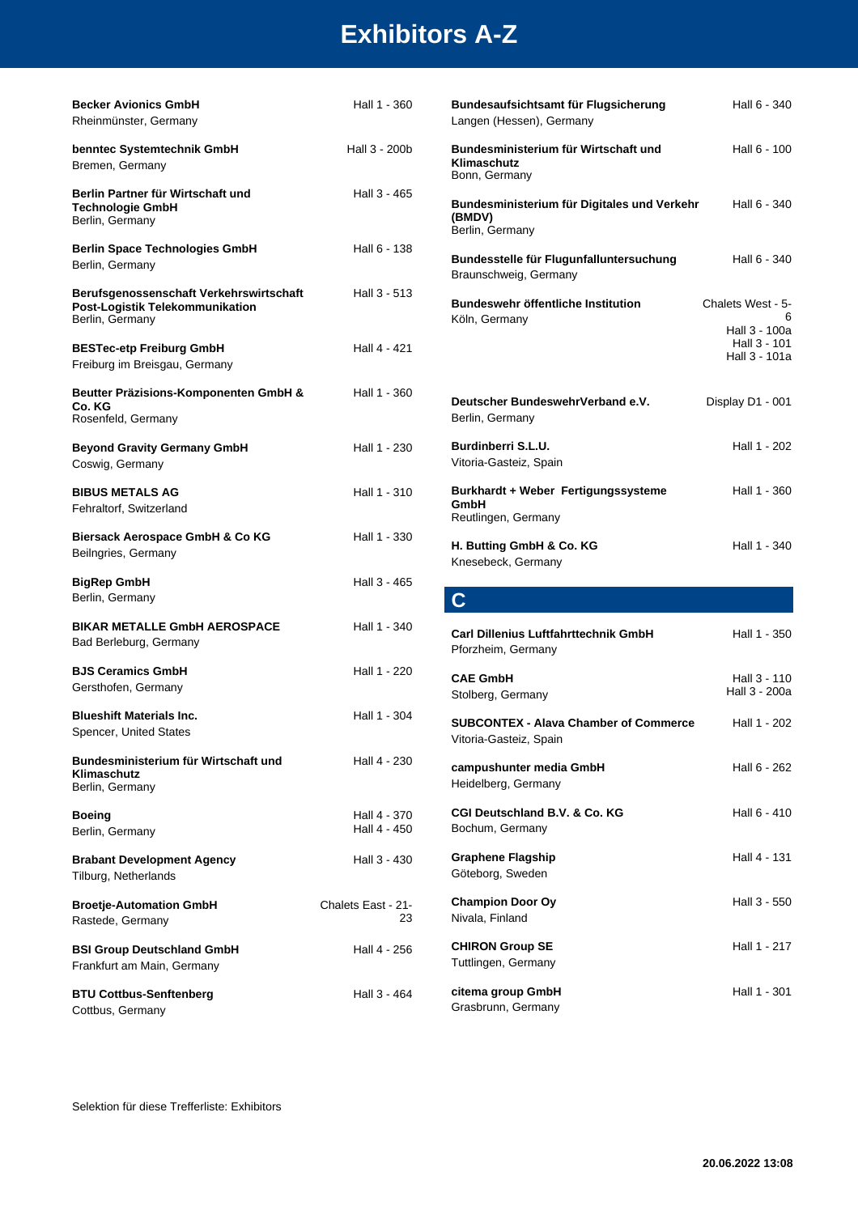| <b>Becker Avionics GmbH</b><br>Rheinmünster, Germany                                          | Hall 1 - 360                 | <b>Bundesaufsichtsam</b><br>Langen (Hessen), Ge          |
|-----------------------------------------------------------------------------------------------|------------------------------|----------------------------------------------------------|
| benntec Systemtechnik GmbH<br>Bremen, Germany                                                 | Hall 3 - 200b                | <b>Bundesministerium</b><br>Klimaschutz<br>Bonn, Germany |
| Berlin Partner für Wirtschaft und<br><b>Technologie GmbH</b><br>Berlin, Germany               | Hall 3 - 465                 | <b>Bundesministerium</b><br>(BMDV)<br>Berlin, Germany    |
| <b>Berlin Space Technologies GmbH</b><br>Berlin, Germany                                      | Hall 6 - 138                 | <b>Bundesstelle für Flu</b><br>Braunschweig, Germa       |
| Berufsgenossenschaft Verkehrswirtschaft<br>Post-Logistik Telekommunikation<br>Berlin, Germany | Hall 3 - 513                 | Bundeswehr öffentli<br>Köln, Germany                     |
| <b>BESTec-etp Freiburg GmbH</b><br>Freiburg im Breisgau, Germany                              | Hall 4 - 421                 |                                                          |
| Beutter Präzisions-Komponenten GmbH &<br>Co. KG<br>Rosenfeld, Germany                         | Hall 1 - 360                 | <b>Deutscher Bundesw</b><br>Berlin, Germany              |
| <b>Beyond Gravity Germany GmbH</b><br>Coswig, Germany                                         | Hall 1 - 230                 | Burdinberri S.L.U.<br>Vitoria-Gasteiz, Spain             |
| <b>BIBUS METALS AG</b><br>Fehraltorf, Switzerland                                             | Hall 1 - 310                 | <b>Burkhardt + Weber</b><br>GmbH<br>Reutlingen, Germany  |
| Biersack Aerospace GmbH & Co KG<br>Beilngries, Germany                                        | Hall 1 - 330                 | H. Butting GmbH & 0<br>Knesebeck, Germany                |
| <b>BigRep GmbH</b>                                                                            | Hall 3 - 465                 |                                                          |
| Berlin, Germany                                                                               |                              | $\mathbf C$                                              |
| <b>BIKAR METALLE GmbH AEROSPACE</b><br>Bad Berleburg, Germany                                 | Hall 1 - 340                 | <b>Carl Dillenius Luftfal</b><br>Pforzheim, Germany      |
| <b>BJS Ceramics GmbH</b><br>Gersthofen, Germany                                               | Hall 1 - 220                 | <b>CAE GmbH</b><br>Stolberg, Germany                     |
| <b>Blueshift Materials Inc.</b><br>Spencer, United States                                     | Hall 1 - 304                 | <b>SUBCONTEX - Alava</b><br>Vitoria-Gasteiz, Spain       |
| Bundesministerium für Wirtschaft und<br>Klimaschutz<br>Berlin, Germany                        | Hall 4 - 230                 | campushunter medi<br>Heidelberg, Germany                 |
| <b>Boeing</b><br>Berlin, Germany                                                              | Hall 4 - 370<br>Hall 4 - 450 | <b>CGI Deutschland B.\</b><br>Bochum, Germany            |
| <b>Brabant Development Agency</b><br>Tilburg, Netherlands                                     | Hall 3 - 430                 | <b>Graphene Flagship</b><br>Göteborg, Sweden             |
| <b>Broetje-Automation GmbH</b><br>Rastede, Germany                                            | Chalets East - 21-<br>23.    | <b>Champion Door Oy</b><br>Nivala, Finland               |
| <b>BSI Group Deutschland GmbH</b><br>Frankfurt am Main, Germany                               | Hall 4 - 256                 | <b>CHIRON Group SE</b><br>Tuttlingen, Germany            |
| <b>BTU Cottbus-Senftenberg</b><br>Cottbus, Germany                                            | Hall 3 - 464                 | citema group GmbH<br>Grasbrunn, Germany                  |

| Bundesaufsichtsamt für Flugsicherung<br>Langen (Hessen), Germany         | Hall 6 - 340                                                             |
|--------------------------------------------------------------------------|--------------------------------------------------------------------------|
| Bundesministerium für Wirtschaft und<br>Klimaschutz<br>Bonn, Germany     | Hall 6 - 100                                                             |
| Bundesministerium für Digitales und Verkehr<br>(BMDV)<br>Berlin, Germany | Hall 6 - 340                                                             |
| Bundesstelle für Flugunfalluntersuchung<br>Braunschweig, Germany         | Hall 6 - 340                                                             |
| Bundeswehr öffentliche Institution<br>Köln, Germany                      | Chalets West - 5-<br>6<br>Hall 3 - 100a<br>Hall 3 - 101<br>Hall 3 - 101a |
| Deutscher BundeswehrVerband e.V.<br>Berlin, Germany                      | Display D1 - 001                                                         |
| Burdinberri S.L.U.<br>Vitoria-Gasteiz, Spain                             | Hall 1 - 202                                                             |
| Burkhardt + Weber Fertigungssysteme<br>GmbH<br>Reutlingen, Germany       | Hall 1 - 360                                                             |
| H. Butting GmbH & Co. KG<br>Knesebeck, Germany                           | Hall 1 - 340                                                             |
| $\mathbf C$                                                              |                                                                          |
| <b>Carl Dillenius Luftfahrttechnik GmbH</b><br>Pforzheim, Germany        | Hall 1 - 350                                                             |
| <b>CAE GmbH</b><br>Stolberg, Germany                                     | Hall 3 - 110<br>Hall 3 - 200a                                            |
| <b>SUBCONTEX - Alava Chamber of Commerce</b><br>Vitoria-Gasteiz, Spain   | Hall 1 - 202                                                             |

| vitoria-Gasteiz, Spain                           |              |
|--------------------------------------------------|--------------|
| campushunter media GmbH<br>Heidelberg, Germany   | Hall 6 - 262 |
| CGI Deutschland B.V. & Co. KG<br>Bochum, Germany | Hall 6 - 410 |
| <b>Graphene Flagship</b><br>Göteborg, Sweden     | Hall 4 - 131 |
| <b>Champion Door Oy</b><br>Nivala, Finland       | Hall 3 - 550 |
| <b>CHIRON Group SE</b><br>Tuttlingen, Germany    | Hall 1 - 217 |
| citema group GmbH                                | Hall 1 - 301 |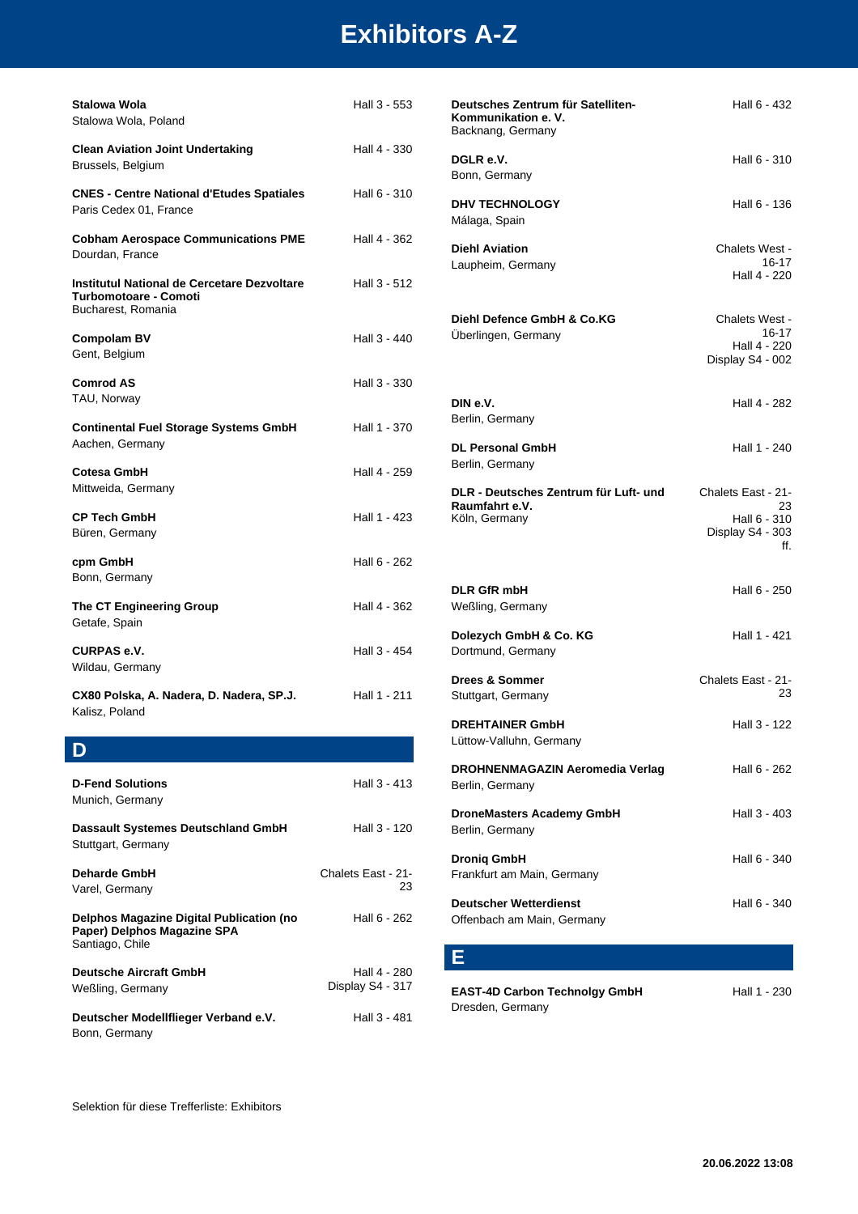| Stalowa Wola<br>Stalowa Wola, Poland                                                                         | Hall 3 - 553                     | Deutsches Zentrum für Satelliten-<br>Kommunikation e.V.<br>Backnang, Germany | Hall 6 - 432                                                |
|--------------------------------------------------------------------------------------------------------------|----------------------------------|------------------------------------------------------------------------------|-------------------------------------------------------------|
| <b>Clean Aviation Joint Undertaking</b><br>Brussels, Belgium                                                 | Hall 4 - 330                     | DGLR e.V.<br>Bonn, Germany                                                   | Hall 6 - 310                                                |
| <b>CNES - Centre National d'Etudes Spatiales</b><br>Paris Cedex 01, France                                   | Hall 6 - 310                     | <b>DHV TECHNOLOGY</b><br>Málaga, Spain                                       | Hall 6 - 136                                                |
| <b>Cobham Aerospace Communications PME</b><br>Dourdan, France                                                | Hall 4 - 362                     | <b>Diehl Aviation</b><br>Laupheim, Germany                                   | Chalets West -<br>16-17                                     |
| Institutul National de Cercetare Dezvoltare<br><b>Turbomotoare - Comoti</b><br>Bucharest, Romania            | Hall 3 - 512                     |                                                                              | Hall 4 - 220                                                |
| <b>Compolam BV</b><br>Gent, Belgium                                                                          | Hall 3 - 440                     | Diehl Defence GmbH & Co.KG<br>Überlingen, Germany                            | Chalets West -<br>16-17<br>Hall 4 - 220<br>Display S4 - 002 |
| <b>Comrod AS</b>                                                                                             | Hall 3 - 330                     |                                                                              |                                                             |
| TAU, Norway<br><b>Continental Fuel Storage Systems GmbH</b>                                                  | Hall 1 - 370                     | DIN e.V.<br>Berlin, Germany                                                  | Hall 4 - 282                                                |
| Aachen, Germany                                                                                              |                                  | <b>DL Personal GmbH</b>                                                      | Hall 1 - 240                                                |
| Cotesa GmbH                                                                                                  | Hall 4 - 259                     | Berlin, Germany                                                              |                                                             |
| Mittweida, Germany                                                                                           |                                  | DLR - Deutsches Zentrum für Luft- und                                        | Chalets East - 21-                                          |
| <b>CP Tech GmbH</b>                                                                                          | Hall 1 - 423                     | Raumfahrt e.V.<br>Köln, Germany                                              | 23<br>Hall 6 - 310                                          |
| Büren, Germany                                                                                               |                                  |                                                                              | Display S4 - 303<br>ff.                                     |
| cpm GmbH<br>Bonn, Germany                                                                                    | Hall 6 - 262                     |                                                                              |                                                             |
| The CT Engineering Group                                                                                     | Hall 4 - 362                     | <b>DLR GfR mbH</b><br>Weßling, Germany                                       | Hall 6 - 250                                                |
| Getafe, Spain                                                                                                |                                  |                                                                              |                                                             |
| <b>CURPAS e.V.</b><br>Wildau, Germany                                                                        | Hall 3 - 454                     | Dolezych GmbH & Co. KG<br>Dortmund, Germany                                  | Hall 1 - 421                                                |
| CX80 Polska, A. Nadera, D. Nadera, SP.J.                                                                     | Hall 1 - 211                     | Drees & Sommer<br>Stuttgart, Germany                                         | Chalets East - 21-<br>23                                    |
| Kalisz, Poland                                                                                               |                                  | <b>DREHTAINER GmbH</b><br>Lüttow-Valluhn, Germany                            | Hall 3 - 122                                                |
| D                                                                                                            |                                  |                                                                              |                                                             |
| <b>D-Fend Solutions</b><br>Munich, Germany                                                                   | Hall 3 - 413                     | DROHNENMAGAZIN Aeromedia Verlag<br>Berlin, Germany                           | Hall 6 - 262                                                |
| Dassault Systemes Deutschland GmbH<br>Stuttgart, Germany                                                     | Hall 3 - 120                     | <b>DroneMasters Academy GmbH</b><br>Berlin, Germany                          | Hall 3 - 403                                                |
| <b>Deharde GmbH</b>                                                                                          | Chalets East - 21-<br>23         | <b>Dronig GmbH</b><br>Frankfurt am Main, Germany                             | Hall 6 - 340                                                |
| Varel, Germany<br>Delphos Magazine Digital Publication (no<br>Paper) Delphos Magazine SPA<br>Santiago, Chile | Hall 6 - 262                     | <b>Deutscher Wetterdienst</b><br>Offenbach am Main, Germany                  | Hall 6 - 340                                                |
|                                                                                                              |                                  | Е                                                                            |                                                             |
| <b>Deutsche Aircraft GmbH</b><br>Weßling, Germany                                                            | Hall 4 - 280<br>Display S4 - 317 | <b>EAST-4D Carbon Technolgy GmbH</b><br>Dresden, Germany                     | Hall 1 - 230                                                |
| Deutscher Modellflieger Verband e.V.<br>Bonn, Germany                                                        | Hall 3 - 481                     |                                                                              |                                                             |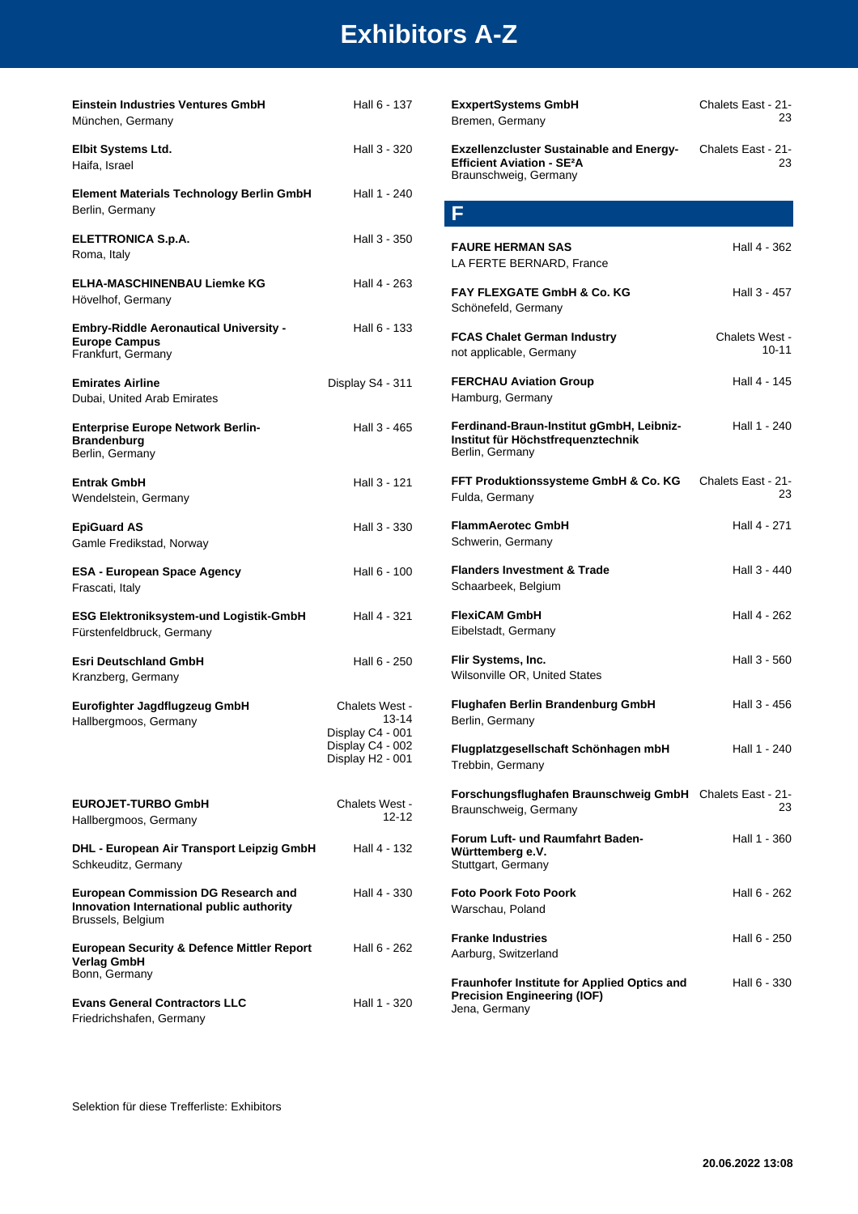| Einstein Industries Ventures GmbH<br>München, Germany                                                        | Hall 6 - 137                                    | <b>ExxpertSystems GmbH</b><br>Bremen, Germany                                                                           | Chalets East - 21-<br>23    |
|--------------------------------------------------------------------------------------------------------------|-------------------------------------------------|-------------------------------------------------------------------------------------------------------------------------|-----------------------------|
| Elbit Systems Ltd.<br>Haifa, Israel                                                                          | Hall 3 - 320                                    | <b>Exzellenzcluster Sustainable and Energy-</b><br><b>Efficient Aviation - SE<sup>2</sup>A</b><br>Braunschweig, Germany | Chalets East - 21-<br>23    |
| <b>Element Materials Technology Berlin GmbH</b><br>Berlin, Germany                                           | Hall 1 - 240                                    | F                                                                                                                       |                             |
| <b>ELETTRONICA S.p.A.</b><br>Roma, Italy                                                                     | Hall 3 - 350                                    | <b>FAURE HERMAN SAS</b><br>LA FERTE BERNARD, France                                                                     | Hall 4 - 362                |
| <b>ELHA-MASCHINENBAU Liemke KG</b><br>Hövelhof, Germany                                                      | Hall 4 - 263                                    | <b>FAY FLEXGATE GmbH &amp; Co. KG</b><br>Schönefeld, Germany                                                            | Hall 3 - 457                |
| <b>Embry-Riddle Aeronautical University -</b><br><b>Europe Campus</b><br>Frankfurt, Germany                  | Hall 6 - 133                                    | <b>FCAS Chalet German Industry</b><br>not applicable, Germany                                                           | Chalets West -<br>$10 - 11$ |
| <b>Emirates Airline</b><br>Dubai, United Arab Emirates                                                       | Display S4 - 311                                | <b>FERCHAU Aviation Group</b><br>Hamburg, Germany                                                                       | Hall 4 - 145                |
| <b>Enterprise Europe Network Berlin-</b><br><b>Brandenburg</b><br>Berlin, Germany                            | Hall 3 - 465                                    | Ferdinand-Braun-Institut gGmbH, Leibniz-<br>Institut für Höchstfrequenztechnik<br>Berlin, Germany                       | Hall 1 - 240                |
| Entrak GmbH<br>Wendelstein, Germany                                                                          | Hall 3 - 121                                    | FFT Produktionssysteme GmbH & Co. KG<br>Fulda, Germany                                                                  | Chalets East - 21-<br>23    |
| <b>EpiGuard AS</b><br>Gamle Fredikstad, Norway                                                               | Hall 3 - 330                                    | <b>FlammAerotec GmbH</b><br>Schwerin, Germany                                                                           | Hall 4 - 271                |
| <b>ESA - European Space Agency</b><br>Frascati, Italy                                                        | Hall 6 - 100                                    | <b>Flanders Investment &amp; Trade</b><br>Schaarbeek, Belgium                                                           | Hall 3 - 440                |
| ESG Elektroniksystem-und Logistik-GmbH<br>Fürstenfeldbruck, Germany                                          | Hall 4 - 321                                    | <b>FlexiCAM GmbH</b><br>Eibelstadt, Germany                                                                             | Hall 4 - 262                |
| <b>Esri Deutschland GmbH</b><br>Kranzberg, Germany                                                           | Hall 6 - 250                                    | Flir Systems, Inc.<br>Wilsonville OR, United States                                                                     | Hall 3 - 560                |
| Eurofighter Jagdflugzeug GmbH<br>Hallbergmoos, Germany                                                       | Chalets West -<br>$13 - 14$<br>Display C4 - 001 | Flughafen Berlin Brandenburg GmbH<br>Berlin, Germany                                                                    | Hall 3 - 456                |
|                                                                                                              | Display C4 - 002<br>Display H2 - 001            | Flugplatzgesellschaft Schönhagen mbH<br>Trebbin, Germany                                                                | Hall 1 - 240                |
| <b>EUROJET-TURBO GmbH</b><br>Hallbergmoos, Germany                                                           | Chalets West -<br>12-12                         | Forschungsflughafen Braunschweig GmbH Chalets East - 21-<br>Braunschweig, Germany                                       | 23                          |
| DHL - European Air Transport Leipzig GmbH<br>Schkeuditz, Germany                                             | Hall 4 - 132                                    | Forum Luft- und Raumfahrt Baden-<br>Württemberg e.V.<br>Stuttgart, Germany                                              | Hall 1 - 360                |
| <b>European Commission DG Research and</b><br>Innovation International public authority<br>Brussels, Belgium | Hall 4 - 330                                    | <b>Foto Poork Foto Poork</b><br>Warschau, Poland                                                                        | Hall 6 - 262                |
| <b>European Security &amp; Defence Mittler Report</b><br><b>Verlag GmbH</b>                                  | Hall 6 - 262                                    | <b>Franke Industries</b><br>Aarburg, Switzerland                                                                        | Hall 6 - 250                |
| Bonn, Germany<br><b>Evans General Contractors LLC</b><br>Friedrichshafen, Germany                            | Hall 1 - 320                                    | Fraunhofer Institute for Applied Optics and<br><b>Precision Engineering (IOF)</b><br>Jena, Germany                      | Hall 6 - 330                |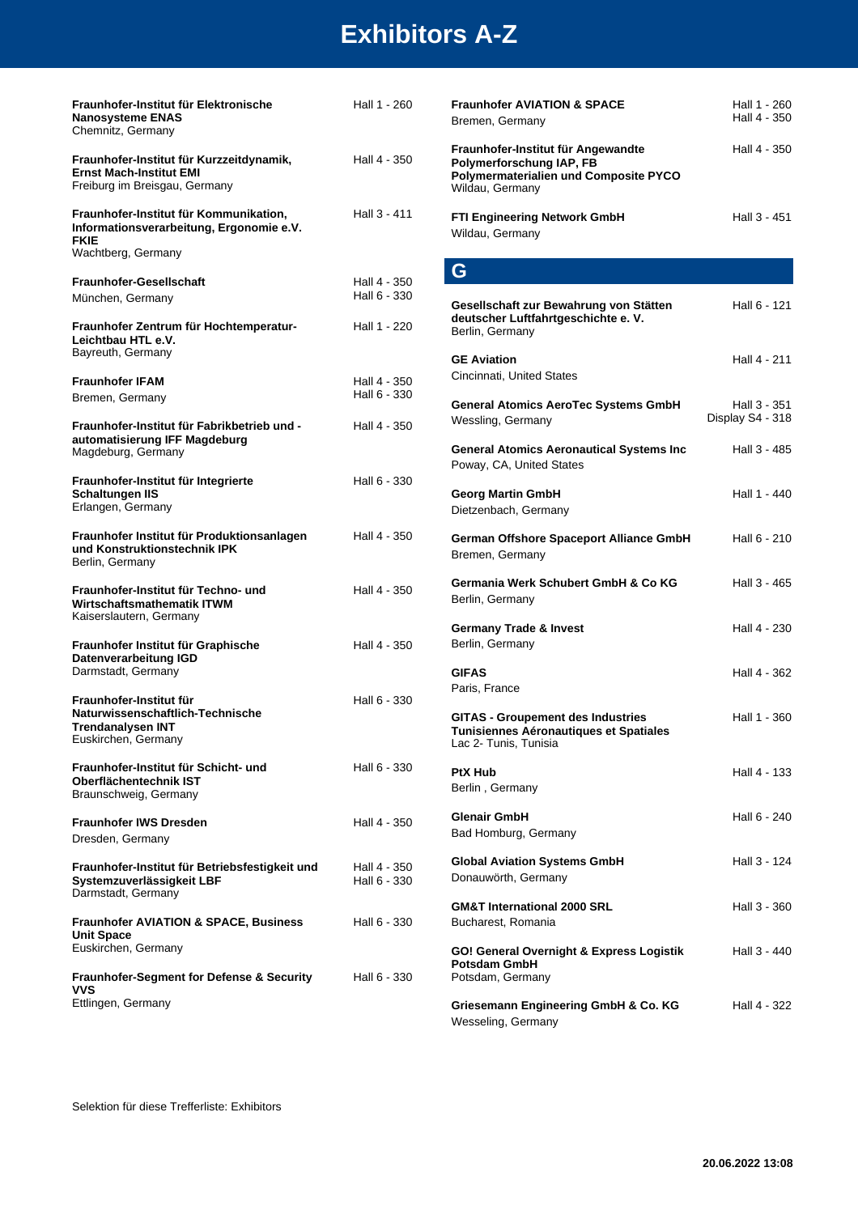| Fraunhofer-Institut für Elektronische<br><b>Nanosysteme ENAS</b><br>Chemnitz, Germany                                   | Hall 1 - 260                 | Fraunh<br>Bremer                                |
|-------------------------------------------------------------------------------------------------------------------------|------------------------------|-------------------------------------------------|
| Fraunhofer-Institut für Kurzzeitdynamik,<br><b>Ernst Mach-Institut EMI</b><br>Freiburg im Breisgau, Germany             | Hall 4 - 350                 | Fraunh<br>Polyme<br>Polyme<br>Wildau,           |
| Fraunhofer-Institut für Kommunikation,<br>Informationsverarbeitung, Ergonomie e.V.<br><b>FKIE</b><br>Wachtberg, Germany | Hall 3 - 411                 | FTI Eng<br>Wildau,                              |
|                                                                                                                         |                              | G                                               |
| <b>Fraunhofer-Gesellschaft</b><br>München, Germany                                                                      | Hall 4 - 350<br>Hall 6 - 330 | Gesells                                         |
| Fraunhofer Zentrum für Hochtemperatur-<br>Leichtbau HTL e.V.<br>Bayreuth, Germany                                       | Hall 1 - 220                 | deutsc<br>Berlin,                               |
| <b>Fraunhofer IFAM</b>                                                                                                  | Hall 4 - 350                 | <b>GE Avi</b><br>Cincinn                        |
| Bremen, Germany                                                                                                         | Hall 6 - 330                 | Genera                                          |
| Fraunhofer-Institut für Fabrikbetrieb und -<br>automatisierung IFF Magdeburg                                            | Hall 4 - 350                 | Wesslir                                         |
| Magdeburg, Germany                                                                                                      |                              | Genera<br>Poway,                                |
| Fraunhofer-Institut für Integrierte<br><b>Schaltungen IIS</b><br>Erlangen, Germany                                      | Hall 6 - 330                 | Georg<br>Dietzen                                |
| Fraunhofer Institut für Produktionsanlagen<br>und Konstruktionstechnik IPK<br>Berlin, Germany                           | Hall 4 - 350                 | Germa<br><b>Bremer</b>                          |
| Fraunhofer-Institut für Techno- und<br>Wirtschaftsmathematik ITWM<br>Kaiserslautern, Germany                            | Hall 4 - 350                 | Germa<br>Berlin,                                |
| Fraunhofer Institut für Graphische<br>Datenverarbeitung IGD<br>Darmstadt, Germany                                       | Hall 4 - 350                 | Germa<br>Berlin,<br><b>GIFAS</b>                |
| Fraunhofer-Institut für<br>Naturwissenschaftlich-Technische<br><b>Trendanalysen INT</b><br>Euskirchen, Germany          | Hall 6 - 330                 | Paris, F<br><b>GITAS</b><br>Tunisie<br>Lac $2-$ |
| Fraunhofer-Institut für Schicht- und<br>Oberflächentechnik IST<br>Braunschweig, Germany                                 | Hall 6 - 330                 | PtX Hu<br>Berlin,                               |
| <b>Fraunhofer IWS Dresden</b>                                                                                           | Hall 4 - 350                 | Glenair<br>Bad Ho                               |
| Dresden, Germany                                                                                                        |                              |                                                 |
| Fraunhofer-Institut für Betriebsfestigkeit und<br>Systemzuverlässigkeit LBF<br>Darmstadt, Germany                       | Hall 4 - 350<br>Hall 6 - 330 | Global<br>Donauv                                |
| <b>Fraunhofer AVIATION &amp; SPACE, Business</b><br><b>Unit Space</b>                                                   | Hall 6 - 330                 | <b>GM&amp;T</b><br>Buchar                       |
| Euskirchen, Germany                                                                                                     |                              | GO! Ge                                          |
| <b>Fraunhofer-Segment for Defense &amp; Security</b><br>vvs                                                             | Hall 6 - 330                 | Potsda<br>Potsdar                               |
| Ettlingen, Germany                                                                                                      |                              | Grieser                                         |

| <b>Fraunhofer AVIATION &amp; SPACE</b><br>Bremen, Germany                                                                         | Hall 1 - 260<br>Hall 4 - 350     |
|-----------------------------------------------------------------------------------------------------------------------------------|----------------------------------|
| Fraunhofer-Institut für Angewandte<br>Polymerforschung IAP, FB<br><b>Polymermaterialien und Composite PYCO</b><br>Wildau, Germany | Hall 4 - 350                     |
| <b>FTI Engineering Network GmbH</b><br>Wildau, Germany                                                                            | Hall 3 - 451                     |
| G                                                                                                                                 |                                  |
| Gesellschaft zur Bewahrung von Stätten<br>deutscher Luftfahrtgeschichte e.V.<br>Berlin, Germany                                   | Hall 6 - 121                     |
| <b>GE Aviation</b><br>Cincinnati, United States                                                                                   | Hall 4 - 211                     |
| <b>General Atomics AeroTec Systems GmbH</b><br>Wessling, Germany                                                                  | Hall 3 - 351<br>Display S4 - 318 |
| <b>General Atomics Aeronautical Systems Inc</b><br>Poway, CA, United States                                                       | Hall 3 - 485                     |
| <b>Georg Martin GmbH</b><br>Dietzenbach, Germany                                                                                  | Hall 1 - 440                     |
| German Offshore Spaceport Alliance GmbH<br>Bremen, Germany                                                                        | Hall 6 - 210                     |
| Germania Werk Schubert GmbH & Co KG<br>Berlin, Germany                                                                            | Hall 3 - 465                     |
| <b>Germany Trade &amp; Invest</b><br>Berlin, Germany                                                                              | Hall 4 - 230                     |
| <b>GIFAS</b><br>Paris, France                                                                                                     | Hall 4 - 362                     |
| <b>GITAS - Groupement des Industries</b><br>Tunisiennes Aéronautiques et Spatiales<br>Lac 2- Tunis, Tunisia                       | Hall 1 - 360                     |
| <b>PtX Hub</b><br>Berlin, Germany                                                                                                 | Hall 4 - 133                     |
| Glenair GmbH<br>Bad Homburg, Germany                                                                                              | Hall 6 - 240                     |

| Tunisiennes Aéronautiques et Spatiales<br>Lac 2- Tunis, Tunisia |              |
|-----------------------------------------------------------------|--------------|
| <b>PtX Hub</b>                                                  | Hall 4 - 133 |
| Berlin, Germany                                                 |              |
| <b>Glenair GmbH</b>                                             | Hall 6 - 240 |
| Bad Homburg, Germany                                            |              |
| <b>Global Aviation Systems GmbH</b>                             | Hall 3 - 124 |
| Donauwörth, Germany                                             |              |
| <b>GM&amp;T International 2000 SRL</b>                          | Hall 3 - 360 |
| Bucharest, Romania                                              |              |
| GO! General Overnight & Express Logistik<br>Potsdam GmbH        | Hall 3 - 440 |
| Potsdam, Germany                                                |              |
|                                                                 |              |

**Example Engineering GmbH & Co. KG** Hall 4 - 322 Wesseling, Germany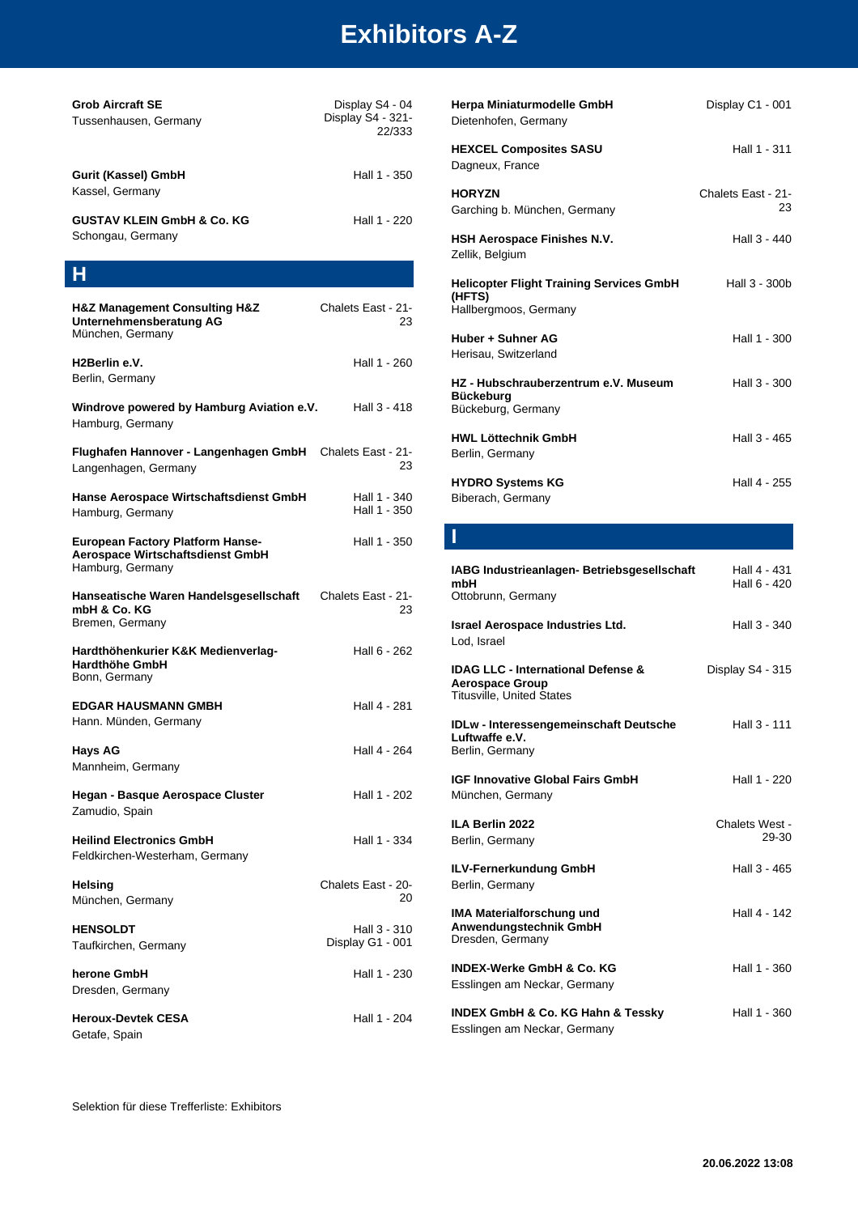| <b>Grob Aircraft SE</b><br>Tussenhausen, Germany                                                | Display S4 - 04<br>Display S4 - 321-<br>22/333 |  |
|-------------------------------------------------------------------------------------------------|------------------------------------------------|--|
| Gurit (Kassel) GmbH<br>Kassel, Germany                                                          | Hall 1 - 350                                   |  |
| <b>GUSTAV KLEIN GmbH &amp; Co. KG</b><br>Schongau, Germany                                      | Hall 1 - 220                                   |  |
| н                                                                                               |                                                |  |
| <b>H&amp;Z Management Consulting H&amp;Z</b><br>Unternehmensberatung AG<br>München, Germany     | Chalets East - 21-<br>23                       |  |
| H2Berlin e.V.<br>Berlin, Germany                                                                | Hall 1 - 260                                   |  |
| Windrove powered by Hamburg Aviation e.V.<br>Hamburg, Germany                                   | Hall 3 - 418                                   |  |
| Flughafen Hannover - Langenhagen GmbH Chalets East - 21-<br>Langenhagen, Germany                | 23                                             |  |
| Hanse Aerospace Wirtschaftsdienst GmbH<br>Hamburg, Germany                                      | Hall 1 - 340<br>Hall 1 - 350                   |  |
| <b>European Factory Platform Hanse-</b><br>Aerospace Wirtschaftsdienst GmbH<br>Hamburg, Germany | Hall 1 - 350                                   |  |
| Hanseatische Waren Handelsgesellschaft<br>mbH & Co. KG<br>Bremen, Germany                       | Chalets East - 21-<br>23                       |  |
| Hardthöhenkurier K&K Medienverlag-<br>Hardthöhe GmbH<br>Bonn, Germany                           | Hall 6 - 262                                   |  |
| <b>EDGAR HAUSMANN GMBH</b><br>Hann. Münden, Germany                                             | Hall 4 - 281                                   |  |
| <b>Hays AG</b><br>Mannheim, Germany                                                             | Hall 4 - 264                                   |  |
| Hegan - Basque Aerospace Cluster<br>Zamudio, Spain                                              | Hall 1 - 202                                   |  |
| <b>Heilind Electronics GmbH</b><br>Feldkirchen-Westerham, Germany                               | Hall 1 - 334                                   |  |
| <b>Helsing</b><br>München, Germany                                                              | Chalets East - 20-<br>20                       |  |
| <b>HENSOLDT</b><br>Taufkirchen, Germany                                                         | Hall 3 - 310<br>Display G1 - 001               |  |
| herone GmbH<br>Dresden, Germany                                                                 | Hall 1 - 230                                   |  |
| <b>Heroux-Devtek CESA</b><br>Getafe, Spain                                                      | Hall 1 - 204                                   |  |

| Herpa Miniaturmodelle GmbH<br>Dietenhofen, Germany                                                          | Display C1 - 001             |
|-------------------------------------------------------------------------------------------------------------|------------------------------|
| <b>HEXCEL Composites SASU</b><br>Dagneux, France                                                            | Hall 1 - 311                 |
| <b>HORYZN</b><br>Garching b. München, Germany                                                               | Chalets East - 21-<br>23     |
| HSH Aerospace Finishes N.V.<br>Zellik, Belgium                                                              | Hall 3 - 440                 |
| <b>Helicopter Flight Training Services GmbH</b><br>(HFTS)<br>Hallbergmoos, Germany                          | Hall 3 - 300b                |
| Huber + Suhner AG<br>Herisau, Switzerland                                                                   | Hall 1 - 300                 |
| HZ - Hubschrauberzentrum e.V. Museum<br><b>Bückeburg</b><br>Bückeburg, Germany                              | Hall 3 - 300                 |
| <b>HWL Löttechnik GmbH</b><br>Berlin, Germany                                                               | Hall 3 - 465                 |
| <b>HYDRO Systems KG</b><br>Biberach, Germany                                                                | Hall 4 - 255                 |
| I                                                                                                           |                              |
| IABG Industrieanlagen- Betriebsgesellschaft<br>mbH<br>Ottobrunn, Germany                                    | Hall 4 - 431<br>Hall 6 - 420 |
| Israel Aerospace Industries Ltd.<br>Lod. Israel                                                             | Hall 3 - 340                 |
| <b>IDAG LLC - International Defense &amp;</b><br><b>Aerospace Group</b><br><b>Titusville, United States</b> | Display S4 - 315             |
| <b>IDLw - Interessengemeinschaft Deutsche</b><br>Luftwaffe e.V.<br>Berlin, Germany                          | Hall 3 - 111                 |

| <b>IGF Innovative Global Fairs GmbH</b><br>München, Germany             | Hall 1 - 220            |
|-------------------------------------------------------------------------|-------------------------|
| ILA Berlin 2022<br>Berlin, Germany                                      | Chalets West -<br>29-30 |
| ILV-Fernerkundung GmbH<br>Berlin, Germany                               | Hall 3 - 465            |
| IMA Materialforschung und<br>Anwendungstechnik GmbH<br>Dresden, Germany | Hall 4 - 142            |
| INDEX-Werke GmbH & Co. KG<br>Esslingen am Neckar, Germany               | Hall 1 - 360            |
| INDEX GmbH & Co. KG Hahn & Tessky<br>Esslingen am Neckar, Germany       | Hall 1 - 360            |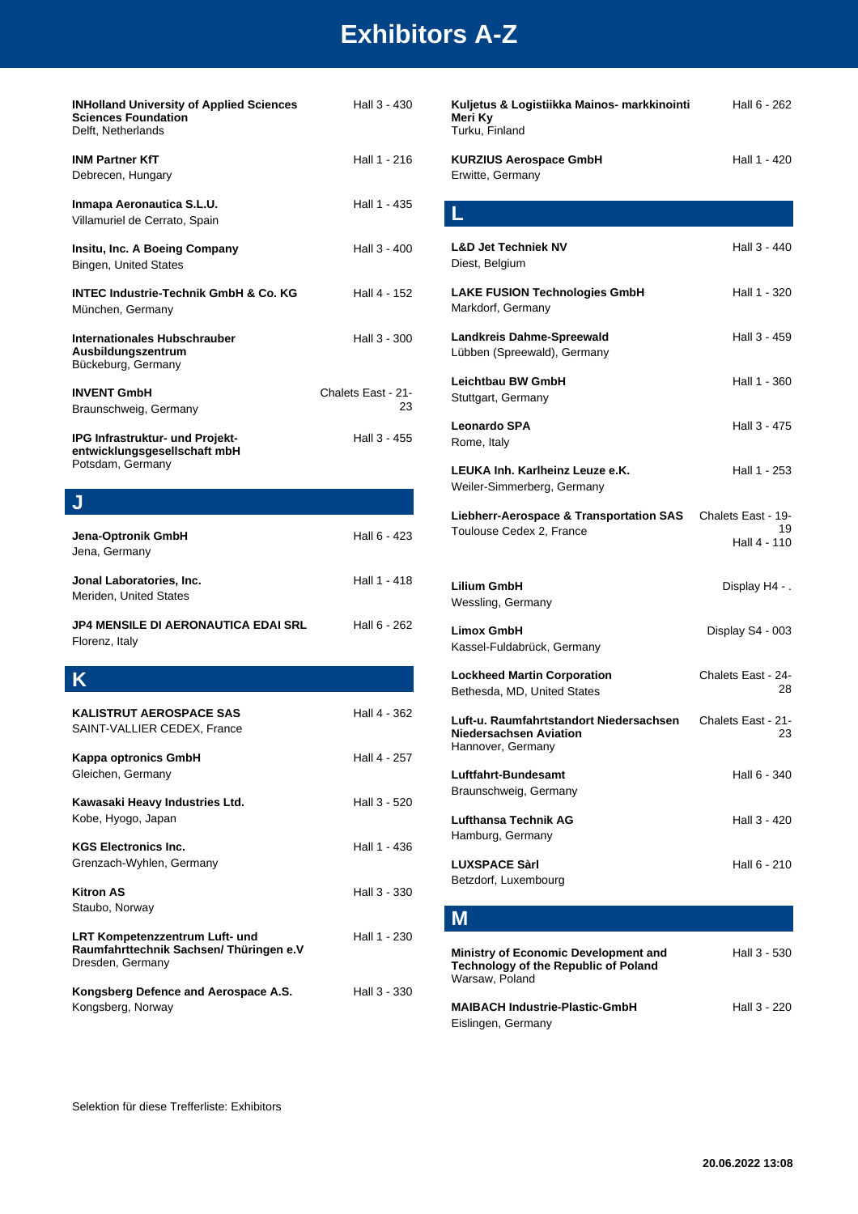| <b>INHolland University of Applied Sciences</b><br><b>Sciences Foundation</b><br>Delft, Netherlands | Hall 3 - 430             |
|-----------------------------------------------------------------------------------------------------|--------------------------|
| <b>INM Partner KfT</b><br>Debrecen, Hungary                                                         | Hall 1 - 216             |
| Inmapa Aeronautica S.L.U.<br>Villamuriel de Cerrato, Spain                                          | Hall 1 - 435             |
| Insitu, Inc. A Boeing Company<br><b>Bingen, United States</b>                                       | Hall 3 - 400             |
| <b>INTEC Industrie-Technik GmbH &amp; Co. KG</b><br>München, Germany                                | Hall 4 - 152             |
| Internationales Hubschrauber<br>Ausbildungszentrum<br>Bückeburg, Germany                            | Hall 3 - 300             |
| <b>INVENT GmbH</b><br>Braunschweig, Germany                                                         | Chalets East - 21-<br>23 |
| IPG Infrastruktur- und Projekt-<br>entwicklungsgesellschaft mbH<br>Potsdam, Germany                 | Hall 3 - 455             |
| J                                                                                                   |                          |
| Jena-Optronik GmbH<br>Jena, Germany                                                                 | Hall 6 - 423             |
|                                                                                                     |                          |
| Jonal Laboratories, Inc.<br>Meriden, United States                                                  | Hall 1 - 418             |
| <b>JP4 MENSILE DI AERONAUTICA EDAI SRL</b><br>Florenz, Italy                                        | Hall 6 - 262             |
| Κ                                                                                                   |                          |
| KALISTRUT AEROSPACE SAS<br>SAINT-VALLIER CEDEX, France                                              | Hall 4 - 362             |
| Kappa optronics GmbH<br>Gleichen, Germany                                                           | Hall 4 - 257             |
| Kawasaki Heavy Industries Ltd.<br>Kobe, Hyogo, Japan                                                | Hall 3 - 520             |
| <b>KGS Electronics Inc.</b><br>Grenzach-Wyhlen, Germany                                             | Hall 1 - 436             |
| Kitron AS<br>Staubo, Norway                                                                         | Hall 3 - 330             |
| LRT Kompetenzzentrum Luft- und<br>Raumfahrttechnik Sachsen/ Thüringen e.V<br>Dresden, Germany       | Hall 1 - 230             |

| Kuljetus & Logistiikka Mainos- markkinointi<br>Meri Ky<br>Turku, Finland                                     | Hall 6 - 262                             |
|--------------------------------------------------------------------------------------------------------------|------------------------------------------|
| <b>KURZIUS Aerospace GmbH</b><br>Erwitte, Germany                                                            | Hall 1 - 420                             |
| L                                                                                                            |                                          |
| <b>L&amp;D Jet Techniek NV</b><br>Diest, Belgium                                                             | Hall 3 - 440                             |
| <b>LAKE FUSION Technologies GmbH</b><br>Markdorf, Germany                                                    | Hall 1 - 320                             |
| Landkreis Dahme-Spreewald<br>Lübben (Spreewald), Germany                                                     | Hall 3 - 459                             |
| Leichtbau BW GmbH<br>Stuttgart, Germany                                                                      | Hall 1 - 360                             |
| <b>Leonardo SPA</b><br>Rome, Italy                                                                           | Hall 3 - 475                             |
| LEUKA Inh. Karlheinz Leuze e.K.<br>Weiler-Simmerberg, Germany                                                | Hall 1 - 253                             |
| Liebherr-Aerospace & Transportation SAS<br>Toulouse Cedex 2, France                                          | Chalets East - 19-<br>19<br>Hall 4 - 110 |
| Lilium GmbH<br>Wessling, Germany                                                                             | Display H4 - .                           |
| <b>Limox GmbH</b><br>Kassel-Fuldabrück, Germany                                                              | Display S4 - 003                         |
| <b>Lockheed Martin Corporation</b><br>Bethesda, MD, United States                                            | Chalets East - 24-<br>28                 |
| Luft-u. Raumfahrtstandort Niedersachsen<br>Niedersachsen Aviation<br>Hannover, Germany                       | Chalets East - 21-<br>23                 |
| Luftfahrt-Bundesamt<br>Braunschweig, Germany                                                                 | Hall 6 - 340                             |
| <b>Lufthansa Technik AG</b><br>Hamburg, Germany                                                              | Hall 3 - 420                             |
| <b>LUXSPACE Sàrl</b><br>Betzdorf, Luxembourg                                                                 | Hall 6 - 210                             |
| Μ                                                                                                            |                                          |
| <b>Ministry of Economic Development and</b><br><b>Technology of the Republic of Poland</b><br>Warsaw, Poland | Hall 3 - 530                             |

**MAIBACH Industrie-Plastic-GmbH** Hall 3 - 220 Eislingen, Germany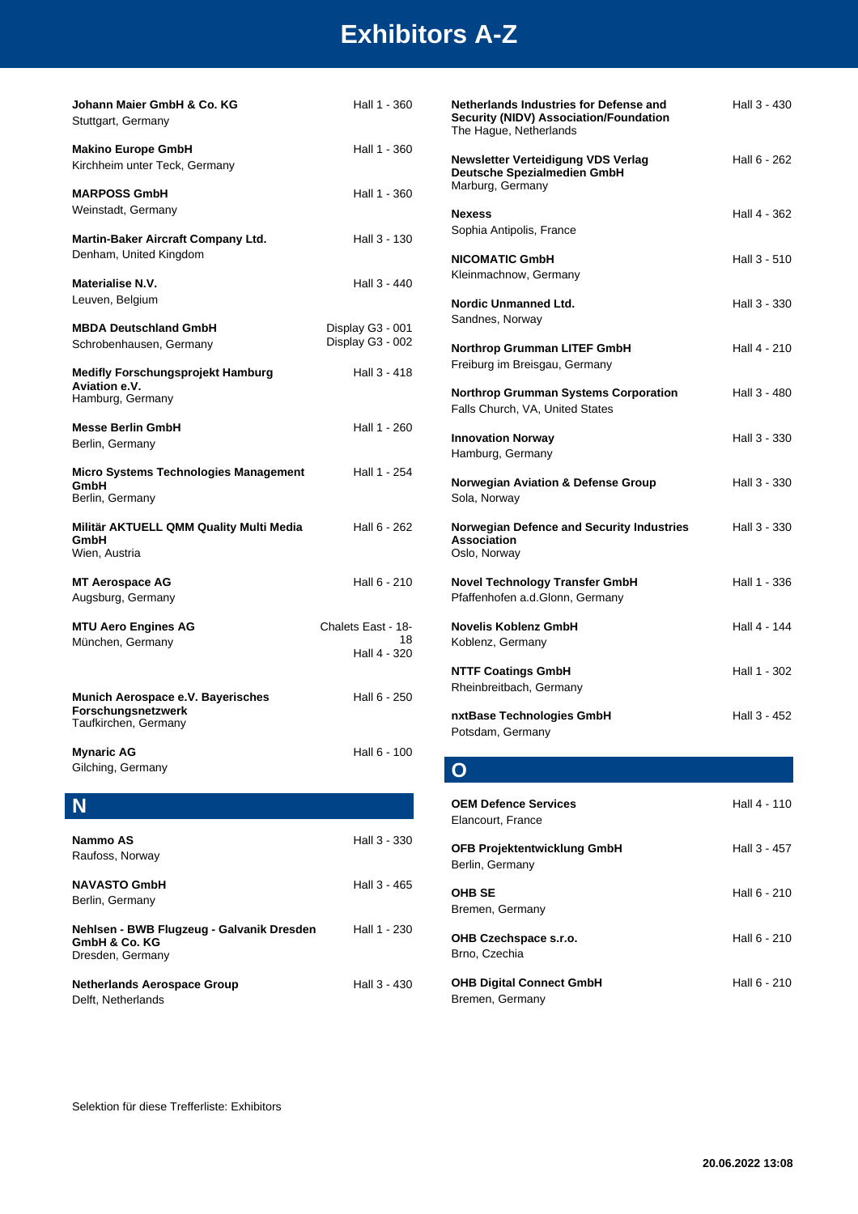| Johann Maier GmbH & Co. KG<br>Stuttgart, Germany                                | Hall 1 - 360                         |
|---------------------------------------------------------------------------------|--------------------------------------|
| <b>Makino Europe GmbH</b><br>Kirchheim unter Teck, Germany                      | Hall 1 - 360                         |
| <b>MARPOSS GmbH</b><br>Weinstadt, Germany                                       | Hall 1 - 360                         |
| Martin-Baker Aircraft Company Ltd.<br>Denham, United Kingdom                    | Hall 3 - 130                         |
| Materialise N.V.<br>Leuven, Belgium                                             | Hall 3 - 440                         |
| <b>MBDA Deutschland GmbH</b><br>Schrobenhausen, Germany                         | Display G3 - 001<br>Display G3 - 002 |
| <b>Medifly Forschungsprojekt Hamburg</b><br>Aviation e.V.<br>Hamburg, Germany   | Hall 3 - 418                         |
| <b>Messe Berlin GmbH</b><br>Berlin, Germany                                     | Hall 1 - 260                         |
| Micro Systems Technologies Management<br>GmbH<br>Berlin, Germany                | Hall 1 - 254                         |
| Militär AKTUELL QMM Quality Multi Media<br>GmbH<br>Wien, Austria                | Hall 6 - 262                         |
| <b>MT Aerospace AG</b><br>Augsburg, Germany                                     | Hall 6 - 210                         |
| <b>MTU Aero Engines AG</b>                                                      | Chalets East - 18-                   |
| München, Germany                                                                | 18<br>Hall 4 - 320                   |
| Munich Aerospace e.V. Bayerisches<br>Forschungsnetzwerk<br>Taufkirchen, Germany | Hall 6 - 250                         |
| <b>Mynaric AG</b><br>Gilching, Germany                                          | Hall 6 - 100                         |
|                                                                                 |                                      |
| Nammo AS<br>Raufoss, Norway                                                     | Hall 3 - 330                         |
| <b>NAVASTO GmbH</b><br>Berlin, Germany                                          | Hall 3 - 465                         |
| Nehlsen - BWB Flugzeug - Galvanik Dresden<br>GmbH & Co. KG<br>Dresden, Germany  | Hall 1 - 230                         |
| <b>Netherlands Aerospace Group</b><br>Delft, Netherlands                        | Hall 3 - 430                         |

| Netherlands Industries for Defense and<br>Security (NIDV) Association/Foundation<br>The Hague, Netherlands | Hall 3 - 430 |
|------------------------------------------------------------------------------------------------------------|--------------|
| Newsletter Verteidigung VDS Verlag<br>Deutsche Spezialmedien GmbH<br>Marburg, Germany                      | Hall 6 - 262 |
| <b>Nexess</b><br>Sophia Antipolis, France                                                                  | Hall 4 - 362 |
| <b>NICOMATIC GmbH</b><br>Kleinmachnow, Germany                                                             | Hall 3 - 510 |
| <b>Nordic Unmanned Ltd.</b><br>Sandnes, Norway                                                             | Hall 3 - 330 |
| Northrop Grumman LITEF GmbH<br>Freiburg im Breisgau, Germany                                               | Hall 4 - 210 |
| <b>Northrop Grumman Systems Corporation</b><br>Falls Church, VA, United States                             | Hall 3 - 480 |
| <b>Innovation Norway</b><br>Hamburg, Germany                                                               | Hall 3 - 330 |
| Norwegian Aviation & Defense Group<br>Sola, Norway                                                         | Hall 3 - 330 |
| Norwegian Defence and Security Industries<br><b>Association</b><br>Oslo, Norway                            | Hall 3 - 330 |
| <b>Novel Technology Transfer GmbH</b><br>Pfaffenhofen a.d.Glonn, Germany                                   | Hall 1 - 336 |
| Novelis Koblenz GmbH<br>Koblenz, Germany                                                                   | Hall 4 - 144 |
| <b>NTTF Coatings GmbH</b><br>Rheinbreitbach, Germany                                                       | Hall 1 - 302 |
| nxtBase Technologies GmbH<br>Potsdam, Germany                                                              | Hall 3 - 452 |

#### **O**

| <b>OEM Defence Services</b><br>Elancourt, France      | Hall 4 - 110 |
|-------------------------------------------------------|--------------|
| <b>OFB Projektentwicklung GmbH</b><br>Berlin, Germany | Hall 3 - 457 |
| <b>OHB SE</b><br>Bremen, Germany                      | Hall 6 - 210 |
| OHB Czechspace s.r.o.<br>Brno, Czechia                | Hall 6 - 210 |
| <b>OHB Digital Connect GmbH</b><br>Bremen, Germany    | Hall 6 - 210 |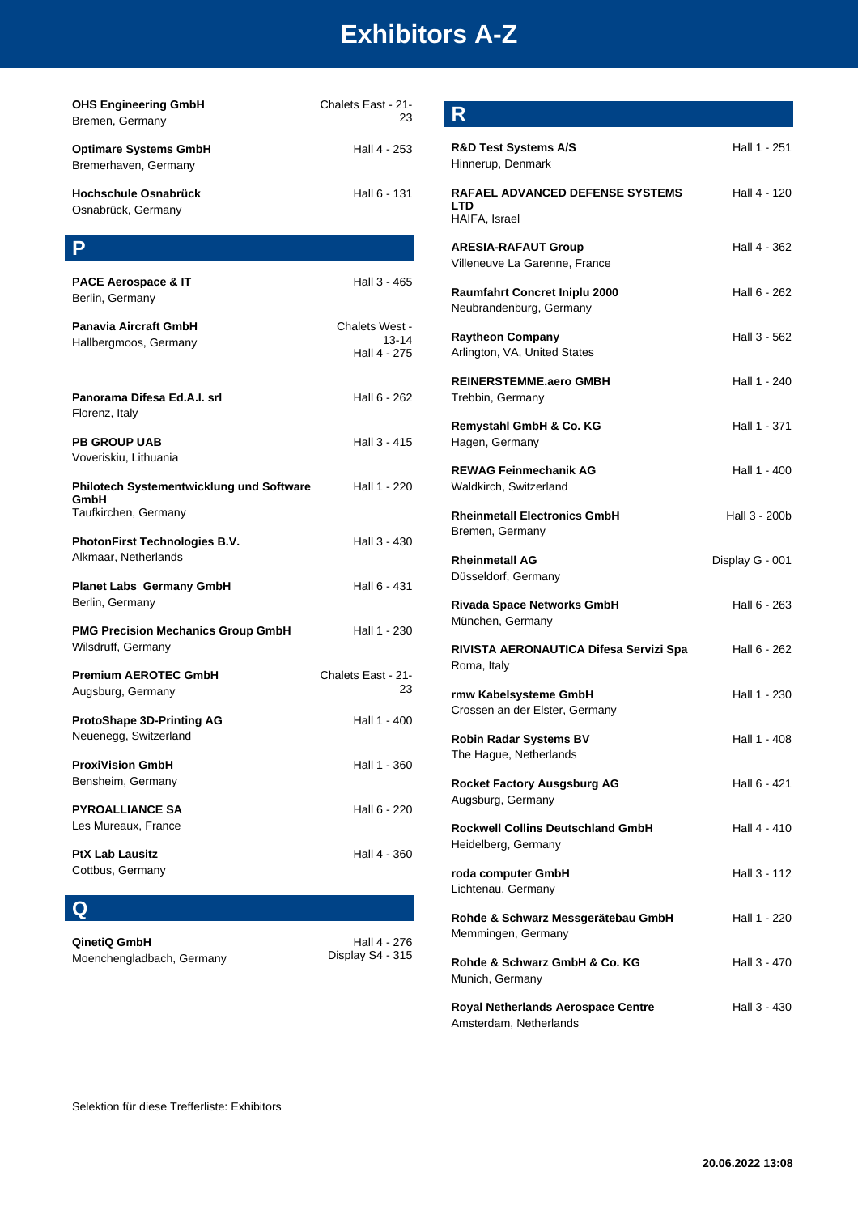| <b>OHS Engineering GmbH</b><br>Bremen, Germany                           | Chalets East - 21-<br>23                |
|--------------------------------------------------------------------------|-----------------------------------------|
| <b>Optimare Systems GmbH</b><br>Bremerhaven, Germany                     | Hall 4 - 253                            |
| Hochschule Osnabrück<br>Osnabrück, Germany                               | Hall 6 - 131                            |
| Ρ                                                                        |                                         |
| <b>PACE Aerospace &amp; IT</b><br>Berlin, Germany                        | Hall 3 - 465                            |
| <b>Panavia Aircraft GmbH</b><br>Hallbergmoos, Germany                    | Chalets West -<br>13-14<br>Hall 4 - 275 |
| Panorama Difesa Ed.A.I. srl<br>Florenz, Italy                            | Hall 6 - 262                            |
| <b>PB GROUP UAB</b><br>Voveriskiu, Lithuania                             | Hall 3 - 415                            |
| Philotech Systementwicklung und Software<br>GmbH<br>Taufkirchen, Germany | Hall 1 - 220                            |
| <b>PhotonFirst Technologies B.V.</b><br>Alkmaar, Netherlands             | Hall 3 - 430                            |
| <b>Planet Labs Germany GmbH</b><br>Berlin, Germany                       | Hall 6 - 431                            |
| <b>PMG Precision Mechanics Group GmbH</b><br>Wilsdruff, Germany          | Hall 1 - 230                            |
| <b>Premium AEROTEC GmbH</b><br>Augsburg, Germany                         | Chalets East - 21-<br>23                |
| <b>ProtoShape 3D-Printing AG</b><br>Neuenegg, Switzerland                | Hall 1 - 400                            |
| <b>ProxiVision GmbH</b><br>Bensheim, Germany                             | Hall 1 - 360                            |
| <b>PYROALLIANCE SA</b><br>Les Mureaux, France                            | Hall 6 - 220                            |
| <b>PtX Lab Lausitz</b><br>Cottbus, Germany                               | Hall 4 - 360                            |
| U                                                                        |                                         |

| QinetiQ GmbH |  |  |  |
|--------------|--|--|--|
|              |  |  |  |

| QinetiQ GmbH              | Hall 4 - 276     |
|---------------------------|------------------|
| Moenchengladbach, Germany | Display S4 - 315 |

| R                                                                     |                 |
|-----------------------------------------------------------------------|-----------------|
| <b>R&amp;D Test Systems A/S</b><br>Hinnerup, Denmark                  | Hall 1 - 251    |
| <b>RAFAEL ADVANCED DEFENSE SYSTEMS</b><br><b>LTD</b><br>HAIFA, Israel | Hall 4 - 120    |
| <b>ARESIA-RAFAUT Group</b><br>Villeneuve La Garenne, France           | Hall 4 - 362    |
| Raumfahrt Concret Iniplu 2000<br>Neubrandenburg, Germany              | Hall 6 - 262    |
| <b>Raytheon Company</b><br>Arlington, VA, United States               | Hall 3 - 562    |
| <b>REINERSTEMME.aero GMBH</b><br>Trebbin, Germany                     | Hall 1 - 240    |
| Remystahl GmbH & Co. KG<br>Hagen, Germany                             | Hall 1 - 371    |
| <b>REWAG Feinmechanik AG</b><br>Waldkirch, Switzerland                | Hall 1 - 400    |
| <b>Rheinmetall Electronics GmbH</b><br>Bremen, Germany                | Hall 3 - 200b   |
| <b>Rheinmetall AG</b><br>Düsseldorf, Germany                          | Display G - 001 |
| <b>Rivada Space Networks GmbH</b><br>München, Germany                 | Hall 6 - 263    |
| RIVISTA AERONAUTICA Difesa Servizi Spa<br>Roma, Italy                 | Hall 6 - 262    |
| rmw Kabelsysteme GmbH<br>Crossen an der Elster, Germany               | Hall 1 - 230    |
| <b>Robin Radar Systems BV</b><br>The Hague, Netherlands               | Hall 1 - 408    |
| <b>Rocket Factory Ausgsburg AG</b><br>Augsburg, Germany               | Hall 6 - 421    |
| <b>Rockwell Collins Deutschland GmbH</b><br>Heidelberg, Germany       | Hall 4 - 410    |
| roda computer GmbH<br>Lichtenau, Germany                              | Hall 3 - 112    |
| Rohde & Schwarz Messgerätebau GmbH<br>Memmingen, Germany              | Hall 1 - 220    |
| Rohde & Schwarz GmbH & Co. KG<br>Munich, Germany                      | Hall 3 - 470    |
| Royal Netherlands Aerospace Centre<br>Amsterdam, Netherlands          | Hall 3 - 430    |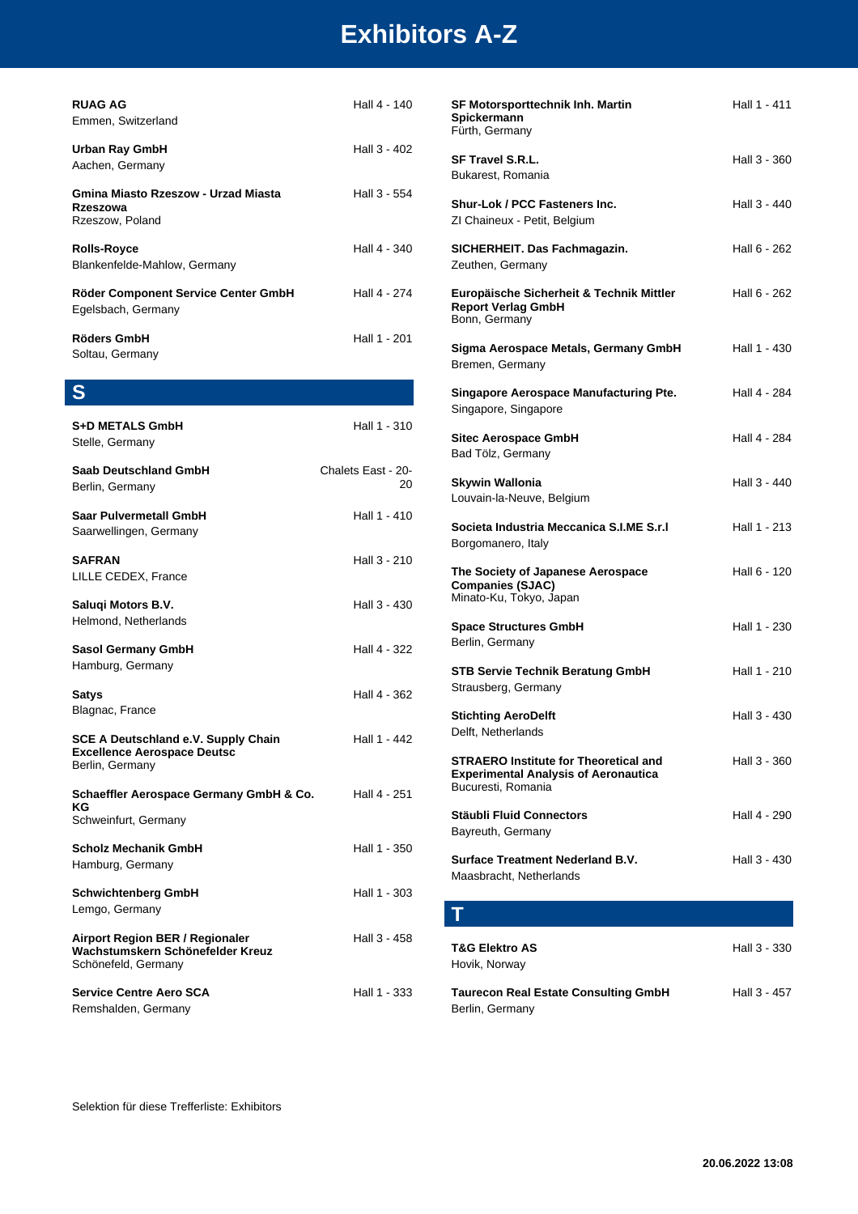| <b>RUAG AG</b><br>Emmen, Switzerland                               | Hall 4 - 140             |
|--------------------------------------------------------------------|--------------------------|
| Urban Ray GmbH<br>Aachen, Germany                                  | Hall 3 - 402             |
| Gmina Miasto Rzeszow - Urzad Miasta<br>Rzeszowa<br>Rzeszow, Poland | Hall 3 - 554             |
| <b>Rolls-Royce</b><br>Blankenfelde-Mahlow, Germany                 | Hall 4 - 340             |
| Röder Component Service Center GmbH<br>Egelsbach, Germany          | Hall 4 - 274             |
| Röders GmbH<br>Soltau, Germany                                     | Hall 1 - 201             |
| S                                                                  |                          |
| <b>S+D METALS GmbH</b><br>Stelle, Germany                          | Hall 1 - 310             |
| Saab Deutschland GmbH<br>Berlin, Germany                           | Chalets East - 20-<br>20 |

**Saar Pulvermetall GmbH** Hall 1 - 410 Saarwellingen, Germany **SAFRAN** Hall 3 - 210 LILLE CEDEX, France **Saluqi Motors B.V. Hall 3 - 430** Helmond, Netherlands **Sasol Germany GmbH** Hall 4 - 322 Hamburg, Germany **Satys** Hall 4 - 362 Blagnac, France **SCE A Deutschland e.V. Supply Chain Excellence Aerospace Deutsc** Hall 1 - 442 Berlin, Germany

| Schaeffler Aerospace Germany GmbH & Co.<br>ΚG<br>Schweinfurt, Germany | Hall 4 - 251 |
|-----------------------------------------------------------------------|--------------|
| <b>Scholz Mechanik GmbH</b>                                           | Hall 1 - 350 |
| Hamburg, Germany                                                      |              |

**Schwichtenberg GmbH** Hall 1 - 303 Lemgo, Germany

**Airport Region BER / Regionaler Wachstumskern Schönefelder Kreuz** Hall 3 - 458 Schönefeld, Germany

**Service Centre Aero SCA** Hall 1 - 333 Remshalden, Germany

| SF Motorsporttechnik Inh. Martin<br>Spickermann<br>Fürth, Germany                                                 | Hall 1 - 411 |
|-------------------------------------------------------------------------------------------------------------------|--------------|
| <b>SF Travel S.R.L.</b><br>Bukarest, Romania                                                                      | Hall 3 - 360 |
| <b>Shur-Lok / PCC Fasteners Inc.</b><br>ZI Chaineux - Petit, Belgium                                              | Hall 3 - 440 |
| SICHERHEIT. Das Fachmagazin.<br>Zeuthen, Germany                                                                  | Hall 6 - 262 |
| Europäische Sicherheit & Technik Mittler<br><b>Report Verlag GmbH</b><br>Bonn, Germany                            | Hall 6 - 262 |
| Sigma Aerospace Metals, Germany GmbH<br>Bremen, Germany                                                           | Hall 1 - 430 |
| Singapore Aerospace Manufacturing Pte.<br>Singapore, Singapore                                                    | Hall 4 - 284 |
| Sitec Aerospace GmbH<br>Bad Tölz, Germany                                                                         | Hall 4 - 284 |
| <b>Skywin Wallonia</b><br>Louvain-la-Neuve, Belgium                                                               | Hall 3 - 440 |
| Societa Industria Meccanica S.I.ME S.r.I<br>Borgomanero, Italy                                                    | Hall 1 - 213 |
| The Society of Japanese Aerospace<br><b>Companies (SJAC)</b><br>Minato-Ku, Tokyo, Japan                           | Hall 6 - 120 |
| <b>Space Structures GmbH</b><br>Berlin, Germany                                                                   | Hall 1 - 230 |
| <b>STB Servie Technik Beratung GmbH</b><br>Strausberg, Germany                                                    | Hall 1 - 210 |
| <b>Stichting AeroDelft</b><br>Delft, Netherlands                                                                  | Hall 3 - 430 |
| <b>STRAERO Institute for Theoretical and</b><br><b>Experimental Analysis of Aeronautica</b><br>Bucuresti, Romania | Hall 3 - 360 |
| <b>Stäubli Fluid Connectors</b><br>Bayreuth, Germany                                                              | Hall 4 - 290 |
| <b>Surface Treatment Nederland B.V.</b><br>Maasbracht, Netherlands                                                | Hall 3 - 430 |
| Т                                                                                                                 |              |
| <b>T&amp;G Elektro AS</b><br>Hovik, Norway                                                                        | Hall 3 - 330 |

**Taurecon Real Estate Consulting GmbH** Hall 3 - 457 Berlin, Germany

Selektion für diese Trefferliste: Exhibitors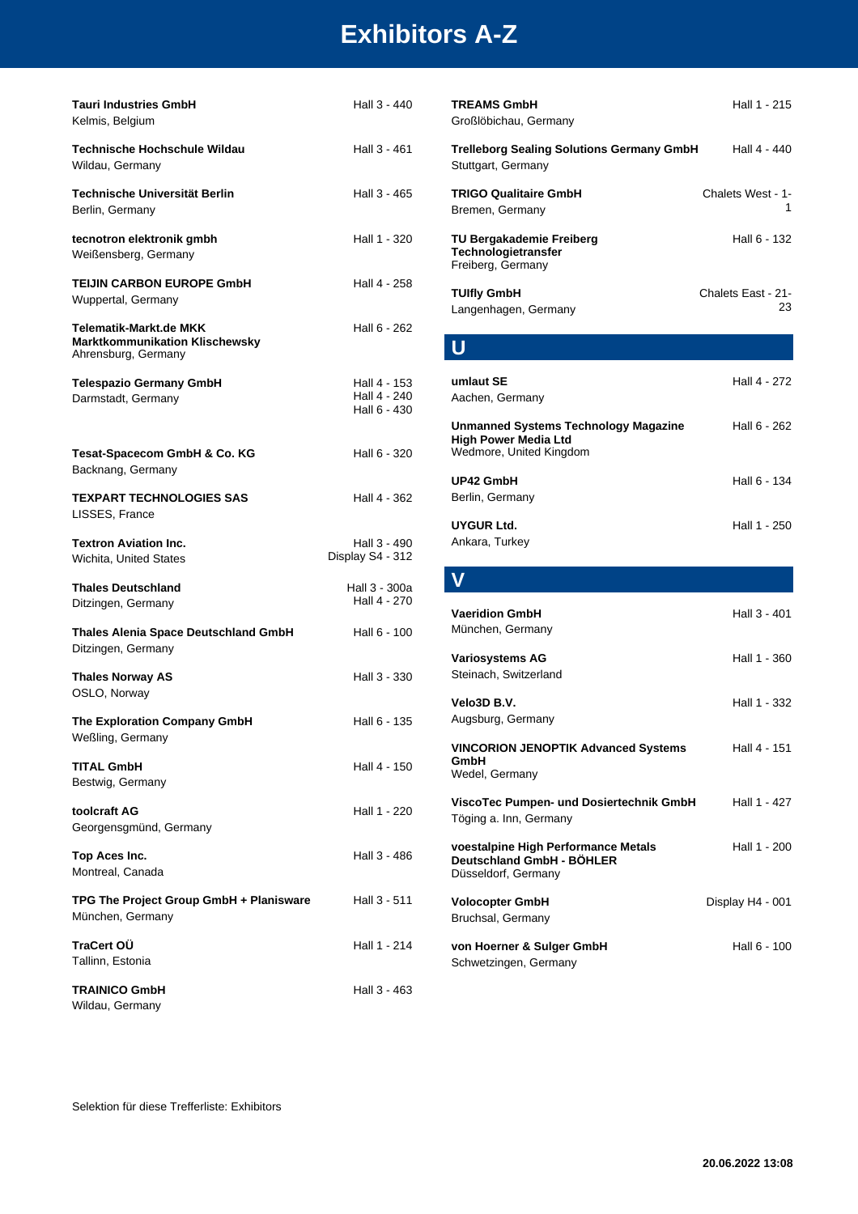| <b>Tauri Industries GmbH</b><br>Kelmis, Belgium                                        | Hall 3 - 440                                 |
|----------------------------------------------------------------------------------------|----------------------------------------------|
| Technische Hochschule Wildau<br>Wildau, Germany                                        | Hall 3 - 461                                 |
| Technische Universität Berlin<br>Berlin, Germany                                       | Hall 3 - 465                                 |
| tecnotron elektronik gmbh<br>Weißensberg, Germany                                      | Hall 1 - 320                                 |
| <b>TEIJIN CARBON EUROPE GmbH</b><br>Wuppertal, Germany                                 | Hall 4 - 258                                 |
| Telematik-Markt.de MKK<br><b>Marktkommunikation Klischewsky</b><br>Ahrensburg, Germany | Hall 6 - 262                                 |
| <b>Telespazio Germany GmbH</b><br>Darmstadt, Germany                                   | Hall 4 - 153<br>Hall 4 - 240<br>Hall 6 - 430 |
| Tesat-Spacecom GmbH & Co. KG<br>Backnang, Germany                                      | Hall 6 - 320                                 |
| <b>TEXPART TECHNOLOGIES SAS</b><br>LISSES, France                                      | Hall 4 - 362                                 |
| <b>Textron Aviation Inc.</b><br>Wichita, United States                                 | Hall 3 - 490<br>Display S4 - 312             |
| <b>Thales Deutschland</b><br>Ditzingen, Germany                                        | Hall 3 - 300a<br>Hall 4 - 270                |
| <b>Thales Alenia Space Deutschland GmbH</b><br>Ditzingen, Germany                      | Hall 6 - 100                                 |
| <b>Thales Norway AS</b><br>OSLO, Norway                                                | Hall 3 - 330                                 |
| The Exploration Company GmbH<br>Weßling, Germany                                       | Hall 6 - 135                                 |
| <b>TITAL GmbH</b><br>Bestwig, Germany                                                  | Hall 4 - 150                                 |
| toolcraft AG<br>Georgensgmünd, Germany                                                 | Hall 1 - 220                                 |
| Top Aces Inc.<br>Montreal, Canada                                                      | Hall 3 - 486                                 |
| TPG The Project Group GmbH + Planisware<br>München, Germany                            | Hall 3 - 511                                 |
| TraCert OÜ<br>Tallinn, Estonia                                                         | Hall 1 - 214                                 |
| <b>TRAINICO GmbH</b><br>Wildau, Germany                                                | Hall 3 - 463                                 |

| <b>TREAMS GmbH</b><br>Großlöbichau, Germany                                                           | Hall 1 - 215             |
|-------------------------------------------------------------------------------------------------------|--------------------------|
| <b>Trelleborg Sealing Solutions Germany GmbH</b><br>Stuttgart, Germany                                | Hall 4 - 440             |
| <b>TRIGO Qualitaire GmbH</b><br>Bremen, Germany                                                       | Chalets West - 1-<br>1   |
| TU Bergakademie Freiberg<br>Technologietransfer<br>Freiberg, Germany                                  | Hall 6 - 132             |
| <b>TUIfly GmbH</b><br>Langenhagen, Germany                                                            | Chalets East - 21-<br>23 |
|                                                                                                       |                          |
| umlaut SE<br>Aachen, Germany                                                                          | Hall 4 - 272             |
| <b>Unmanned Systems Technology Magazine</b><br><b>High Power Media Ltd</b><br>Wedmore, United Kingdom | Hall 6 - 262             |
| UP42 GmbH<br>Berlin, Germany                                                                          | Hall 6 - 134             |
| UYGUR Ltd.<br>Ankara, Turkey                                                                          | Hall 1 - 250             |
|                                                                                                       |                          |

| <b>Vaeridion GmbH</b><br>München, Germany                                               | Hall 3 - 401     |
|-----------------------------------------------------------------------------------------|------------------|
| <b>Variosystems AG</b><br>Steinach, Switzerland                                         | Hall 1 - 360     |
| Velo3D B.V.<br>Augsburg, Germany                                                        | Hall 1 - 332     |
| <b>VINCORION JENOPTIK Advanced Systems</b><br>GmbH<br>Wedel, Germany                    | Hall 4 - 151     |
| ViscoTec Pumpen- und Dosiertechnik GmbH<br>Töging a. Inn, Germany                       | Hall 1 - 427     |
| voestalpine High Performance Metals<br>Deutschland GmbH - BÖHLER<br>Düsseldorf, Germany | Hall 1 - 200     |
| <b>Volocopter GmbH</b><br>Bruchsal, Germany                                             | Display H4 - 001 |
| von Hoerner & Sulger GmbH<br>Schwetzingen, Germany                                      | Hall 6 - 100     |